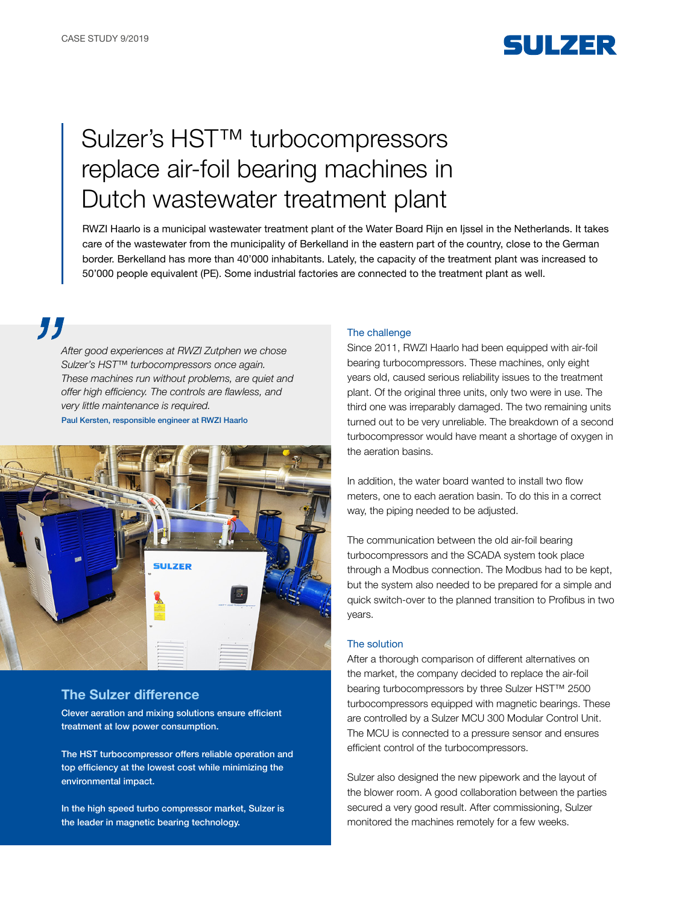

# Sulzer's HST™ turbocompressors replace air-foil bearing machines in Dutch wastewater treatment plant

RWZI Haarlo is a municipal wastewater treatment plant of the Water Board Rijn en Ijssel in the Netherlands. It takes care of the wastewater from the municipality of Berkelland in the eastern part of the country, close to the German border. Berkelland has more than 40'000 inhabitants. Lately, the capacity of the treatment plant was increased to 50'000 people equivalent (PE). Some industrial factories are connected to the treatment plant as well.

77

*After good experiences at RWZI Zutphen we chose Sulzer's HST™ turbocompressors once again. These machines run without problems, are quiet and*  offer high efficiency. The controls are flawless, and very little maintenance is required. Paul Kersten, responsible engineer at RWZI Haarlo



## The Sulzer difference

Clever aeration and mixing solutions ensure efficient treatment at low power consumption.

The HST turbocompressor offers reliable operation and top efficiency at the lowest cost while minimizing the environmental impact.

In the high speed turbo compressor market, Sulzer is the leader in magnetic bearing technology.

#### The challenge

Since 2011, RWZI Haarlo had been equipped with air-foil bearing turbocompressors. These machines, only eight years old, caused serious reliability issues to the treatment plant. Of the original three units, only two were in use. The third one was irreparably damaged. The two remaining units turned out to be very unreliable. The breakdown of a second turbocompressor would have meant a shortage of oxygen in the aeration basins.

In addition, the water board wanted to install two flow meters, one to each aeration basin. To do this in a correct way, the piping needed to be adjusted.

The communication between the old air-foil bearing turbocompressors and the SCADA system took place through a Modbus connection. The Modbus had to be kept, but the system also needed to be prepared for a simple and quick switch-over to the planned transition to Profibus in two years.

### The solution

After a thorough comparison of different alternatives on the market, the company decided to replace the air-foil bearing turbocompressors by three Sulzer HST™ 2500 turbocompressors equipped with magnetic bearings. These are controlled by a Sulzer MCU 300 Modular Control Unit. The MCU is connected to a pressure sensor and ensures efficient control of the turbocompressors.

Sulzer also designed the new pipework and the layout of the blower room. A good collaboration between the parties secured a very good result. After commissioning, Sulzer monitored the machines remotely for a few weeks.